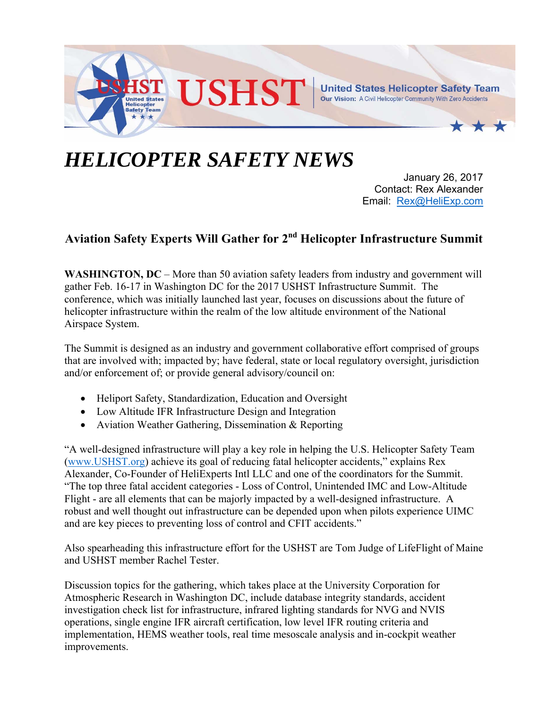

## *HELICOPTER SAFETY NEWS*

January 26, 2017 Contact: Rex Alexander Email: Rex@HeliExp.com

## **Aviation Safety Experts Will Gather for 2nd Helicopter Infrastructure Summit**

**WASHINGTON, DC** – More than 50 aviation safety leaders from industry and government will gather Feb. 16-17 in Washington DC for the 2017 USHST Infrastructure Summit. The conference, which was initially launched last year, focuses on discussions about the future of helicopter infrastructure within the realm of the low altitude environment of the National Airspace System.

The Summit is designed as an industry and government collaborative effort comprised of groups that are involved with; impacted by; have federal, state or local regulatory oversight, jurisdiction and/or enforcement of; or provide general advisory/council on:

- Heliport Safety, Standardization, Education and Oversight
- Low Altitude IFR Infrastructure Design and Integration
- Aviation Weather Gathering, Dissemination & Reporting

"A well-designed infrastructure will play a key role in helping the U.S. Helicopter Safety Team (www.USHST.org) achieve its goal of reducing fatal helicopter accidents," explains Rex Alexander, Co-Founder of HeliExperts Intl LLC and one of the coordinators for the Summit. "The top three fatal accident categories - Loss of Control, Unintended IMC and Low-Altitude Flight - are all elements that can be majorly impacted by a well-designed infrastructure. A robust and well thought out infrastructure can be depended upon when pilots experience UIMC and are key pieces to preventing loss of control and CFIT accidents."

Also spearheading this infrastructure effort for the USHST are Tom Judge of LifeFlight of Maine and USHST member Rachel Tester.

Discussion topics for the gathering, which takes place at the University Corporation for Atmospheric Research in Washington DC, include database integrity standards, accident investigation check list for infrastructure, infrared lighting standards for NVG and NVIS operations, single engine IFR aircraft certification, low level IFR routing criteria and implementation, HEMS weather tools, real time mesoscale analysis and in-cockpit weather improvements.